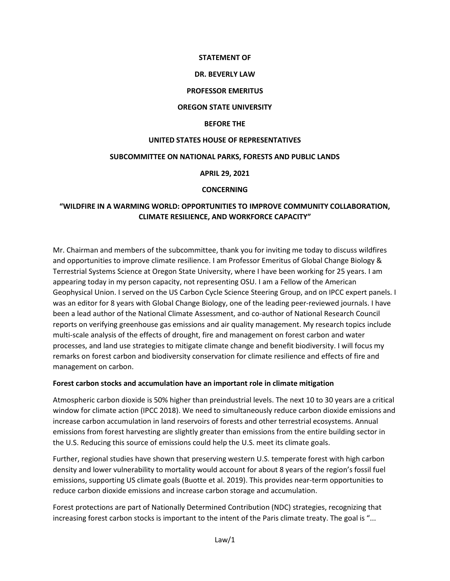#### **STATEMENT OF**

#### **DR. BEVERLY LAW**

#### **PROFESSOR EMERITUS**

#### **OREGON STATE UNIVERSITY**

#### **BEFORE THE**

#### **UNITED STATES HOUSE OF REPRESENTATIVES**

#### **SUBCOMMITTEE ON NATIONAL PARKS, FORESTS AND PUBLIC LANDS**

#### **APRIL 29, 2021**

#### **CONCERNING**

# **"WILDFIRE IN A WARMING WORLD: OPPORTUNITIES TO IMPROVE COMMUNITY COLLABORATION, CLIMATE RESILIENCE, AND WORKFORCE CAPACITY"**

Mr. Chairman and members of the subcommittee, thank you for inviting me today to discuss wildfires and opportunities to improve climate resilience. I am Professor Emeritus of Global Change Biology & Terrestrial Systems Science at Oregon State University, where I have been working for 25 years. I am appearing today in my person capacity, not representing OSU. I am a Fellow of the American Geophysical Union. I served on the US Carbon Cycle Science Steering Group, and on IPCC expert panels. I was an editor for 8 years with Global Change Biology, one of the leading peer-reviewed journals. I have been a lead author of the National Climate Assessment, and co-author of National Research Council reports on verifying greenhouse gas emissions and air quality management. My research topics include multi-scale analysis of the effects of drought, fire and management on forest carbon and water processes, and land use strategies to mitigate climate change and benefit biodiversity. I will focus my remarks on forest carbon and biodiversity conservation for climate resilience and effects of fire and management on carbon.

#### **Forest carbon stocks and accumulation have an important role in climate mitigation**

Atmospheric carbon dioxide is 50% higher than preindustrial levels. The next 10 to 30 years are a critical window for climate action (IPCC 2018). We need to simultaneously reduce carbon dioxide emissions and increase carbon accumulation in land reservoirs of forests and other terrestrial ecosystems. Annual emissions from forest harvesting are slightly greater than emissions from the entire building sector in the U.S. Reducing this source of emissions could help the U.S. meet its climate goals.

Further, regional studies have shown that preserving western U.S. temperate forest with high carbon density and lower vulnerability to mortality would account for about 8 years of the region's fossil fuel emissions, supporting US climate goals (Buotte et al. 2019). This provides near-term opportunities to reduce carbon dioxide emissions and increase carbon storage and accumulation.

Forest protections are part of Nationally Determined Contribution (NDC) strategies, recognizing that increasing forest carbon stocks is important to the intent of the Paris climate treaty. The goal is "...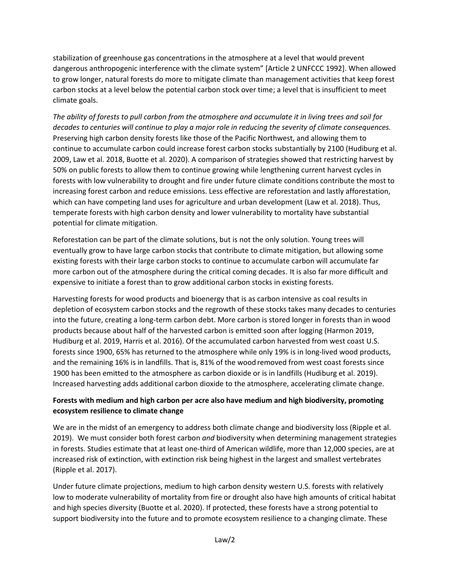stabilization of greenhouse gas concentrations in the atmosphere at a level that would prevent dangerous anthropogenic interference with the climate system" [Article 2 UNFCCC 1992]. When allowed to grow longer, natural forests do more to mitigate climate than management activities that keep forest carbon stocks at a level below the potential carbon stock over time; a level that is insufficient to meet climate goals.

*The ability of forests to pull carbon from the atmosphere and accumulate it in living trees and soil for decades to centuries will continue to play a major role in reducing the severity of climate consequences.* Preserving high carbon density forests like those of the Pacific Northwest, and allowing them to continue to accumulate carbon could increase forest carbon stocks substantially by 2100 (Hudiburg et al. 2009, Law et al. 2018, Buotte et al. 2020). A comparison of strategies showed that restricting harvest by 50% on public forests to allow them to continue growing while lengthening current harvest cycles in forests with low vulnerability to drought and fire under future climate conditions contribute the most to increasing forest carbon and reduce emissions. Less effective are reforestation and lastly afforestation, which can have competing land uses for agriculture and urban development (Law et al. 2018). Thus, temperate forests with high carbon density and lower vulnerability to mortality have substantial potential for climate mitigation.

Reforestation can be part of the climate solutions, but is not the only solution. Young trees will eventually grow to have large carbon stocks that contribute to climate mitigation, but allowing some existing forests with their large carbon stocks to continue to accumulate carbon will accumulate far more carbon out of the atmosphere during the critical coming decades. It is also far more difficult and expensive to initiate a forest than to grow additional carbon stocks in existing forests.

Harvesting forests for wood products and bioenergy that is as carbon intensive as coal results in depletion of ecosystem carbon stocks and the regrowth of these stocks takes many decades to centuries into the future, creating a long-term carbon debt. More carbon is stored longer in forests than in wood products because about half of the harvested carbon is emitted soon after logging (Harmon 2019, Hudiburg et al. 2019, Harris et al. 2016). Of the accumulated carbon harvested from west coast U.S. forests since 1900, 65% has returned to the atmosphere while only 19% is in long-lived wood products, and the remaining 16% is in landfills. That is, 81% of the wood removed from west coast forests since 1900 has been emitted to the atmosphere as carbon dioxide or is in landfills (Hudiburg et al. 2019). Increased harvesting adds additional carbon dioxide to the atmosphere, accelerating climate change.

### **Forests with medium and high carbon per acre also have medium and high biodiversity, promoting ecosystem resilience to climate change**

We are in the midst of an emergency to address both climate change and biodiversity loss (Ripple et al. 2019). We must consider both forest carbon *and* biodiversity when determining management strategies in forests. Studies estimate that at least one-third of American wildlife, more than 12,000 species, are at increased risk of extinction, with extinction risk being highest in the largest and smallest vertebrates (Ripple et al. 2017).

Under future climate projections, medium to high carbon density western U.S. forests with relatively low to moderate vulnerability of mortality from fire or drought also have high amounts of critical habitat and high species diversity (Buotte et al. 2020). If protected, these forests have a strong potential to support biodiversity into the future and to promote ecosystem resilience to a changing climate. These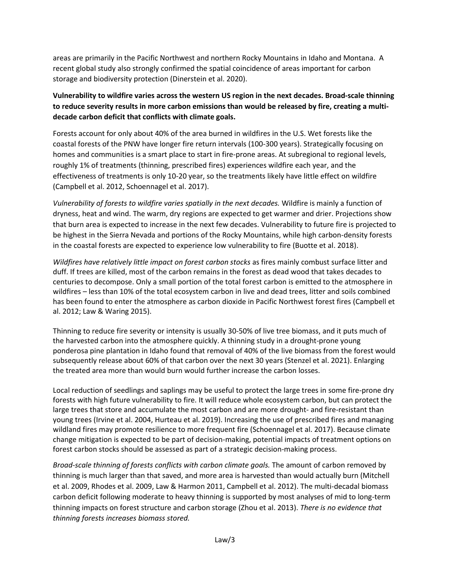areas are primarily in the Pacific Northwest and northern Rocky Mountains in Idaho and Montana. A recent global study also strongly confirmed the spatial coincidence of areas important for carbon storage and biodiversity protection (Dinerstein et al. 2020).

# **Vulnerability to wildfire varies across the western US region in the next decades. Broad-scale thinning to reduce severity results in more carbon emissions than would be released by fire, creating a multidecade carbon deficit that conflicts with climate goals.**

Forests account for only about 40% of the area burned in wildfires in the U.S. Wet forests like the coastal forests of the PNW have longer fire return intervals (100-300 years). Strategically focusing on homes and communities is a smart place to start in fire-prone areas. At subregional to regional levels, roughly 1% of treatments (thinning, prescribed fires) experiences wildfire each year, and the effectiveness of treatments is only 10-20 year, so the treatments likely have little effect on wildfire (Campbell et al. 2012, Schoennagel et al. 2017).

*Vulnerability of forests to wildfire varies spatially in the next decades.* Wildfire is mainly a function of dryness, heat and wind. The warm, dry regions are expected to get warmer and drier. Projections show that burn area is expected to increase in the next few decades. Vulnerability to future fire is projected to be highest in the Sierra Nevada and portions of the Rocky Mountains, while high carbon-density forests in the coastal forests are expected to experience low vulnerability to fire (Buotte et al. 2018).

*Wildfires have relatively little impact on forest carbon stocks* as fires mainly combust surface litter and duff. If trees are killed, most of the carbon remains in the forest as dead wood that takes decades to centuries to decompose. Only a small portion of the total forest carbon is emitted to the atmosphere in wildfires – less than 10% of the total ecosystem carbon in live and dead trees, litter and soils combined has been found to enter the atmosphere as carbon dioxide in Pacific Northwest forest fires (Campbell et al. 2012; Law & Waring 2015).

Thinning to reduce fire severity or intensity is usually 30-50% of live tree biomass, and it puts much of the harvested carbon into the atmosphere quickly. A thinning study in a drought-prone young ponderosa pine plantation in Idaho found that removal of 40% of the live biomass from the forest would subsequently release about 60% of that carbon over the next 30 years (Stenzel et al. 2021). Enlarging the treated area more than would burn would further increase the carbon losses.

Local reduction of seedlings and saplings may be useful to protect the large trees in some fire-prone dry forests with high future vulnerability to fire. It will reduce whole ecosystem carbon, but can protect the large trees that store and accumulate the most carbon and are more drought- and fire-resistant than young trees (Irvine et al. 2004, Hurteau et al. 2019). Increasing the use of prescribed fires and managing wildland fires may promote resilience to more frequent fire (Schoennagel et al. 2017). Because climate change mitigation is expected to be part of decision-making, potential impacts of treatment options on forest carbon stocks should be assessed as part of a strategic decision-making process.

*Broad-scale thinning of forests conflicts with carbon climate goals.* The amount of carbon removed by thinning is much larger than that saved, and more area is harvested than would actually burn (Mitchell et al. 2009, Rhodes et al. 2009, Law & Harmon 2011, Campbell et al. 2012). The multi-decadal biomass carbon deficit following moderate to heavy thinning is supported by most analyses of mid to long-term thinning impacts on forest structure and carbon storage (Zhou et al. 2013). *There is no evidence that thinning forests increases biomass stored.*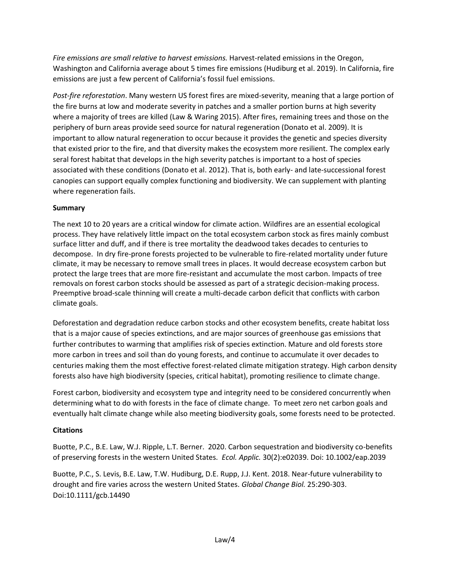*Fire emissions are small relative to harvest emissions.* Harvest-related emissions in the Oregon, Washington and California average about 5 times fire emissions (Hudiburg et al. 2019). In California, fire emissions are just a few percent of California's fossil fuel emissions.

*Post-fire reforestation*. Many western US forest fires are mixed-severity, meaning that a large portion of the fire burns at low and moderate severity in patches and a smaller portion burns at high severity where a majority of trees are killed (Law & Waring 2015). After fires, remaining trees and those on the periphery of burn areas provide seed source for natural regeneration (Donato et al. 2009). It is important to allow natural regeneration to occur because it provides the genetic and species diversity that existed prior to the fire, and that diversity makes the ecosystem more resilient. The complex early seral forest habitat that develops in the high severity patches is important to a host of species associated with these conditions (Donato et al. 2012). That is, both early- and late-successional forest canopies can support equally complex functioning and biodiversity. We can supplement with planting where regeneration fails.

### **Summary**

The next 10 to 20 years are a critical window for climate action. Wildfires are an essential ecological process. They have relatively little impact on the total ecosystem carbon stock as fires mainly combust surface litter and duff, and if there is tree mortality the deadwood takes decades to centuries to decompose. In dry fire-prone forests projected to be vulnerable to fire-related mortality under future climate, it may be necessary to remove small trees in places. It would decrease ecosystem carbon but protect the large trees that are more fire-resistant and accumulate the most carbon. Impacts of tree removals on forest carbon stocks should be assessed as part of a strategic decision-making process. Preemptive broad-scale thinning will create a multi-decade carbon deficit that conflicts with carbon climate goals.

Deforestation and degradation reduce carbon stocks and other ecosystem benefits, create habitat loss that is a major cause of species extinctions, and are major sources of greenhouse gas emissions that further contributes to warming that amplifies risk of species extinction. Mature and old forests store more carbon in trees and soil than do young forests, and continue to accumulate it over decades to centuries making them the most effective forest-related climate mitigation strategy. High carbon density forests also have high biodiversity (species, critical habitat), promoting resilience to climate change.

Forest carbon, biodiversity and ecosystem type and integrity need to be considered concurrently when determining what to do with forests in the face of climate change. To meet zero net carbon goals and eventually halt climate change while also meeting biodiversity goals, some forests need to be protected.

### **Citations**

Buotte, P.C., B.E. Law, W.J. Ripple, L.T. Berner. 2020. Carbon sequestration and biodiversity co-benefits of preserving forests in the western United States. *Ecol. Applic.* 30(2):e02039. Doi: 10.1002/eap.2039

Buotte, P.C., S. Levis, B.E. Law, T.W. Hudiburg, D.E. Rupp, J.J. Kent. 2018. Near-future vulnerability to drought and fire varies across the western United States. *Global Change Biol.* 25:290-303. Doi:10.1111/gcb.14490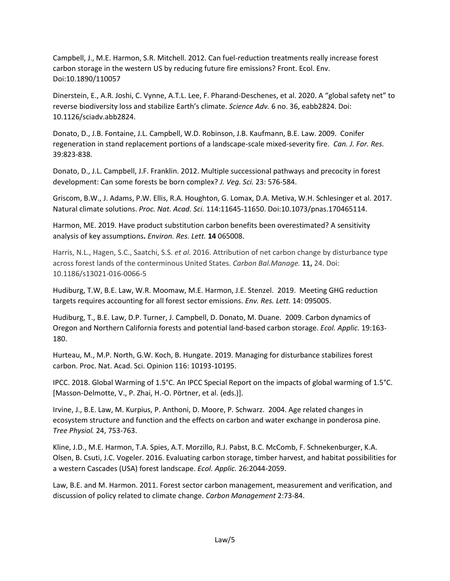Campbell, J., M.E. Harmon, S.R. Mitchell. 2012. Can fuel-reduction treatments really increase forest carbon storage in the western US by reducing future fire emissions? Front. Ecol. Env. Doi:10.1890/110057

Dinerstein, E., A.R. Joshi, C. Vynne, A.T.L. Lee, F. Pharand-Deschenes, et al. 2020. A "global safety net" to reverse biodiversity loss and stabilize Earth's climate. *Science Adv.* 6 no. 36, eabb2824. Doi: 10.1126/sciadv.abb2824.

Donato, D., J.B. Fontaine, J.L. Campbell, W.D. Robinson, J.B. Kaufmann, B.E. Law. 2009. Conifer regeneration in stand replacement portions of a landscape-scale mixed-severity fire. *Can. J. For. Res.* 39:823-838.

Donato, D., J.L. Campbell, J.F. Franklin. 2012. Multiple successional pathways and precocity in forest development: Can some forests be born complex? *J. Veg. Sci.* 23: 576-584.

Griscom, B.W., J. Adams, P.W. Ellis, R.A. Houghton, G. Lomax, D.A. Metiva, W.H. Schlesinger et al. 2017. Natural climate solutions. *Proc. Nat. Acad. Sci.* 114:11645-11650. Doi:10.1073/pnas.170465114.

Harmon, ME. 2019. Have product substitution carbon benefits been overestimated? A sensitivity analysis of key assumptions**.** *Environ. Res. Lett.* **14** 065008.

Harris, N.L., Hagen, S.C., Saatchi, S.S. *et al.* 2016. Attribution of net carbon change by disturbance type across forest lands of the conterminous United States. *Carbon Bal.Manage.* **11,** 24. Doi: 10.1186/s13021-016-0066-5

Hudiburg, T.W, B.E. Law, W.R. Moomaw, M.E. Harmon, J.E. Stenzel. 2019. Meeting GHG reduction targets requires accounting for all forest sector emissions. *Env. Res. Lett.* 14: 095005.

Hudiburg, T., B.E. Law, D.P. Turner, J. Campbell, D. Donato, M. Duane. 2009. Carbon dynamics of Oregon and Northern California forests and potential land-based carbon storage. *Ecol. Applic.* 19:163- 180.

Hurteau, M., M.P. North, G.W. Koch, B. Hungate. 2019. Managing for disturbance stabilizes forest carbon. Proc. Nat. Acad. Sci. Opinion 116: 10193-10195.

IPCC. 2018. Global Warming of 1.5°C. An IPCC Special Report on the impacts of global warming of 1.5°C. [Masson-Delmotte, V., P. Zhai, H.-O. Pörtner, et al. (eds.)].

Irvine, J., B.E. Law, M. Kurpius, P. Anthoni, D. Moore, P. Schwarz. 2004. Age related changes in ecosystem structure and function and the effects on carbon and water exchange in ponderosa pine. *Tree Physiol.* 24, 753-763.

Kline, J.D., M.E. Harmon, T.A. Spies, A.T. Morzillo, R.J. Pabst, B.C. McComb, F. Schnekenburger, K.A. Olsen, B. Csuti, J.C. Vogeler. 2016. Evaluating carbon storage, timber harvest, and habitat possibilities for a western Cascades (USA) forest landscape. *Ecol. Applic.* 26:2044-2059.

Law, B.E. and M. Harmon. 2011. Forest sector carbon management, measurement and verification, and discussion of policy related to climate change. *Carbon Management* 2:73-84.